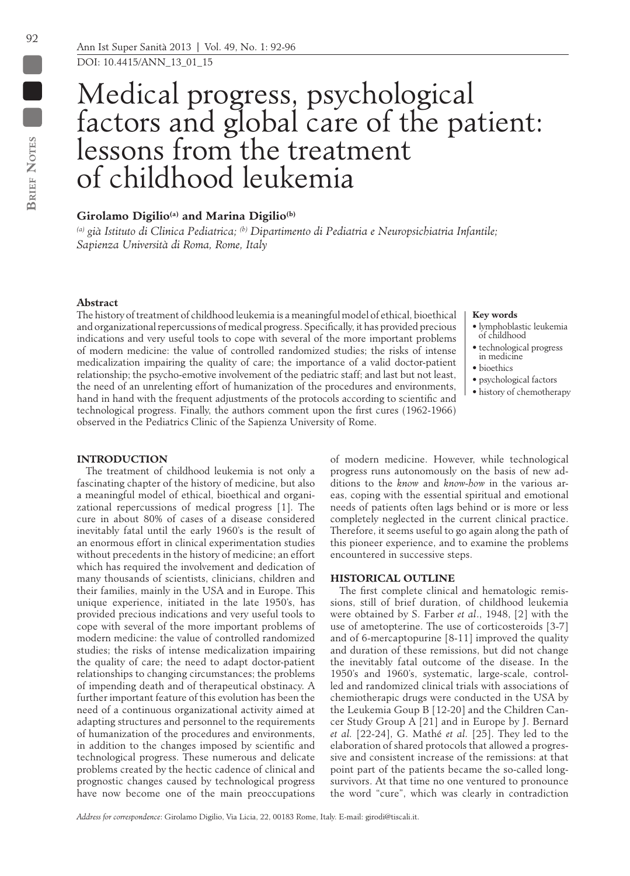$\blacksquare$ 

# Medical progress, psychological factors and global care of the patient: lessons from the treatment of childhood leukemia

# **Girolamo Digilio(a) and Marina Digilio(b)**

*(a) già Istituto di Clinica Pediatrica; (b) Dipartimento di Pediatria e Neuropsichiatria Infantile; Sapienza Università di Roma, Rome, Italy*

# **Abstract**

The history of treatment of childhood leukemia is a meaningful model of ethical, bioethical and organizational repercussions of medical progress. Specifically, it has provided precious indications and very useful tools to cope with several of the more important problems of modern medicine: the value of controlled randomized studies; the risks of intense medicalization impairing the quality of care; the importance of a valid doctor-patient relationship; the psycho-emotive involvement of the pediatric staff; and last but not least, the need of an unrelenting effort of humanization of the procedures and environments, hand in hand with the frequent adjustments of the protocols according to scientific and technological progress. Finally, the authors comment upon the first cures (1962-1966) observed in the Pediatrics Clinic of the Sapienza University of Rome.

#### **Key words**

- lymphoblastic leukemia of childhood
- technological progress in medicine
- bioethics
- psychological factors
- history of chemotherapy

# **INTRODUCTION**

The treatment of childhood leukemia is not only a fascinating chapter of the history of medicine, but also a meaningful model of ethical, bioethical and organizational repercussions of medical progress [1]. The cure in about 80% of cases of a disease considered inevitably fatal until the early 1960's is the result of an enormous effort in clinical experimentation studies without precedents in the history of medicine; an effort which has required the involvement and dedication of many thousands of scientists, clinicians, children and their families, mainly in the USA and in Europe. This unique experience, initiated in the late 1950's, has provided precious indications and very useful tools to cope with several of the more important problems of modern medicine: the value of controlled randomized studies; the risks of intense medicalization impairing the quality of care; the need to adapt doctor-patient relationships to changing circumstances; the problems of impending death and of therapeutical obstinacy. A further important feature of this evolution has been the need of a continuous organizational activity aimed at adapting structures and personnel to the requirements of humanization of the procedures and environments, in addition to the changes imposed by scientific and technological progress. These numerous and delicate problems created by the hectic cadence of clinical and prognostic changes caused by technological progress have now become one of the main preoccupations

of modern medicine. However, while technological progress runs autonomously on the basis of new additions to the *know* and *know-how* in the various areas, coping with the essential spiritual and emotional needs of patients often lags behind or is more or less completely neglected in the current clinical practice. Therefore, it seems useful to go again along the path of this pioneer experience, and to examine the problems encountered in successive steps.

# **HISTORICAL OUTLINE**

The first complete clinical and hematologic remissions, still of brief duration, of childhood leukemia were obtained by S. Farber *et al*., 1948, [2] with the use of ametopterine. The use of corticosteroids [3-7] and of 6-mercaptopurine [8-11] improved the quality and duration of these remissions, but did not change the inevitably fatal outcome of the disease. In the 1950's and 1960's, systematic, large-scale, controlled and randomized clinical trials with associations of chemiotherapic drugs were conducted in the USA by the Leukemia Goup B [12-20] and the Children Cancer Study Group A [21] and in Europe by J. Bernard *et al.* [22-24], G. Mathé *et al.* [25]. They led to the elaboration of shared protocols that allowed a progressive and consistent increase of the remissions: at that point part of the patients became the so-called longsurvivors. At that time no one ventured to pronounce the word "cure", which was clearly in contradiction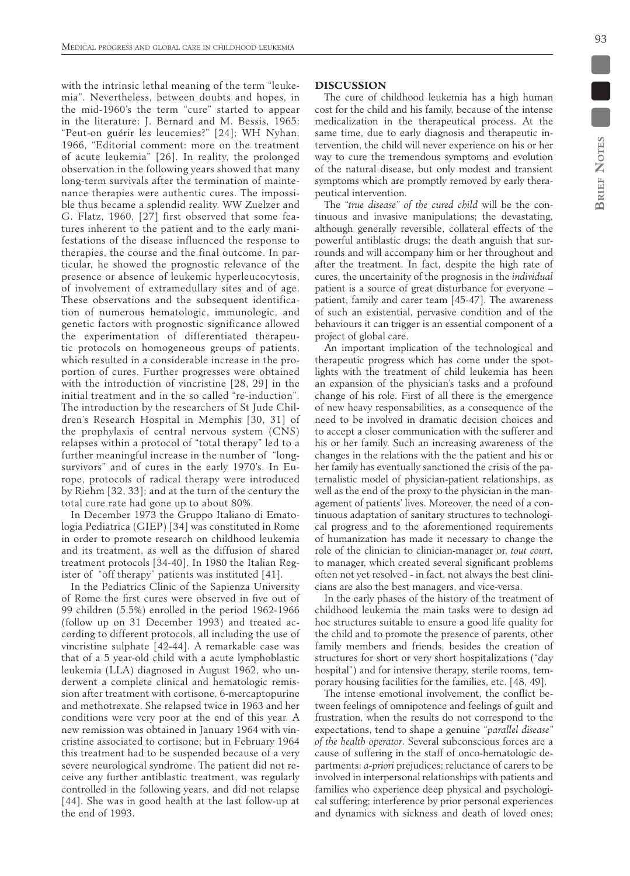93

with the intrinsic lethal meaning of the term "leukemia". Nevertheless, between doubts and hopes, in the mid-1960's the term "cure" started to appear in the literature: J. Bernard and M. Bessis, 1965: "Peut-on guérir les leucemies?" [24]; WH Nyhan, 1966, "Editorial comment: more on the treatment of acute leukemia" [26]. In reality, the prolonged observation in the following years showed that many long-term survivals after the termination of maintenance therapies were authentic cures. The impossible thus became a splendid reality. WW Zuelzer and G. Flatz, 1960, [27] first observed that some features inherent to the patient and to the early manifestations of the disease influenced the response to therapies, the course and the final outcome. In particular, he showed the prognostic relevance of the presence or absence of leukemic hyperleucocytosis, of involvement of extramedullary sites and of age. These observations and the subsequent identification of numerous hematologic, immunologic, and genetic factors with prognostic significance allowed the experimentation of differentiated therapeutic protocols on homogeneous groups of patients, which resulted in a considerable increase in the proportion of cures. Further progresses were obtained with the introduction of vincristine [28, 29] in the initial treatment and in the so called "re-induction". The introduction by the researchers of St Jude Children's Research Hospital in Memphis [30, 31] of the prophylaxis of central nervous system (CNS) relapses within a protocol of "total therapy" led to a further meaningful increase in the number of "longsurvivors" and of cures in the early 1970's. In Europe, protocols of radical therapy were introduced by Riehm [32, 33]; and at the turn of the century the total cure rate had gone up to about 80%.

In December 1973 the Gruppo Italiano di Ematologia Pediatrica (GIEP) [34] was constituted in Rome in order to promote research on childhood leukemia and its treatment, as well as the diffusion of shared treatment protocols [34-40]. In 1980 the Italian Register of "off therapy" patients was instituted [41].

In the Pediatrics Clinic of the Sapienza University of Rome the first cures were observed in five out of 99 children (5.5%) enrolled in the period 1962-1966 (follow up on 31 December 1993) and treated according to different protocols, all including the use of vincristine sulphate [42-44]. A remarkable case was that of a 5 year-old child with a acute lymphoblastic leukemia (LLA) diagnosed in August 1962, who underwent a complete clinical and hematologic remission after treatment with cortisone, 6-mercaptopurine and methotrexate. She relapsed twice in 1963 and her conditions were very poor at the end of this year. A new remission was obtained in January 1964 with vincristine associated to cortisone; but in February 1964 this treatment had to be suspended because of a very severe neurological syndrome. The patient did not receive any further antiblastic treatment, was regularly controlled in the following years, and did not relapse [44]. She was in good health at the last follow-up at the end of 1993.

### **DISCUSSION**

The cure of childhood leukemia has a high human cost for the child and his family, because of the intense medicalization in the therapeutical process. At the same time, due to early diagnosis and therapeutic intervention, the child will never experience on his or her way to cure the tremendous symptoms and evolution of the natural disease, but only modest and transient symptoms which are promptly removed by early therapeutical intervention.

The "*true disease" of the cured child* will be the continuous and invasive manipulations; the devastating, although generally reversible, collateral effects of the powerful antiblastic drugs; the death anguish that surrounds and will accompany him or her throughout and after the treatment. In fact, despite the high rate of cures, the uncertainity of the prognosis in the *individual*  patient is a source of great disturbance for everyone – patient, family and carer team [45-47]. The awareness of such an existential, pervasive condition and of the behaviours it can trigger is an essential component of a project of global care.

An important implication of the technological and therapeutic progress which has come under the spotlights with the treatment of child leukemia has been an expansion of the physician's tasks and a profound change of his role. First of all there is the emergence of new heavy responsabilities, as a consequence of the need to be involved in dramatic decision choices and to accept a closer communication with the sufferer and his or her family. Such an increasing awareness of the changes in the relations with the the patient and his or her family has eventually sanctioned the crisis of the paternalistic model of physician-patient relationships, as well as the end of the proxy to the physician in the management of patients' lives. Moreover, the need of a continuous adaptation of sanitary structures to technological progress and to the aforementioned requirements of humanization has made it necessary to change the role of the clinician to clinician-manager or, *tout court*, to manager, which created several significant problems often not yet resolved - in fact, not always the best clinicians are also the best managers, and vice-versa.

In the early phases of the history of the treatment of childhood leukemia the main tasks were to design ad hoc structures suitable to ensure a good life quality for the child and to promote the presence of parents, other family members and friends, besides the creation of structures for short or very short hospitalizations ("day hospital") and for intensive therapy, sterile rooms, temporary housing facilities for the families, etc. [48, 49].

The intense emotional involvement, the conflict between feelings of omnipotence and feelings of guilt and frustration, when the results do not correspond to the expectations, tend to shape a genuine "*parallel disease" of the health operator*. Several subconscious forces are a cause of suffering in the staff of onco-hematologic departments: *a-priori* prejudices; reluctance of carers to be involved in interpersonal relationships with patients and families who experience deep physical and psychological suffering; interference by prior personal experiences and dynamics with sickness and death of loved ones;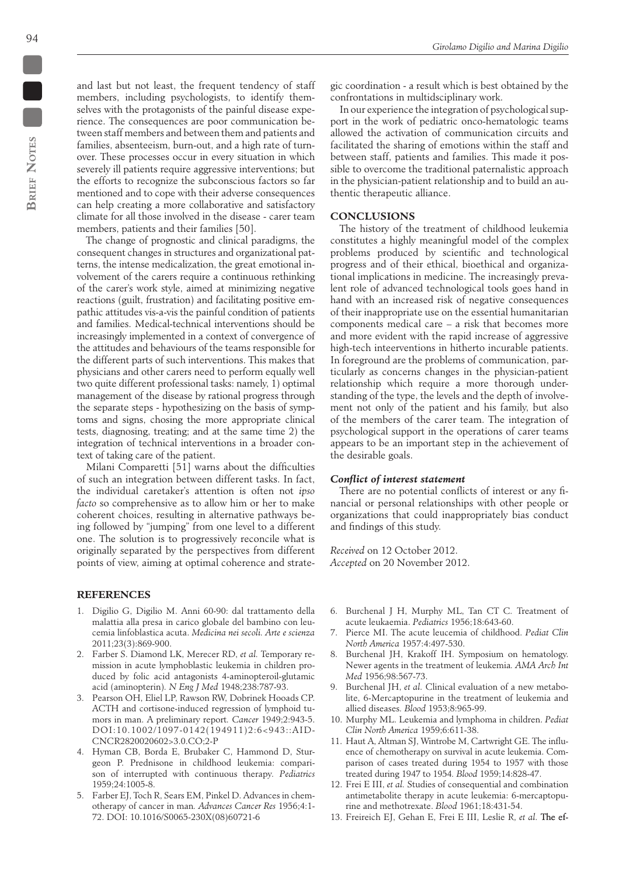and last but not least, the frequent tendency of staff members, including psychologists, to identify themselves with the protagonists of the painful disease experience. The consequences are poor communication between staff members and between them and patients and families, absenteeism, burn-out, and a high rate of turnover. These processes occur in every situation in which severely ill patients require aggressive interventions; but the efforts to recognize the subconscious factors so far mentioned and to cope with their adverse consequences can help creating a more collaborative and satisfactory climate for all those involved in the disease - carer team members, patients and their families [50].

The change of prognostic and clinical paradigms, the consequent changes in structures and organizational patterns, the intense medicalization, the great emotional involvement of the carers require a continuous rethinking of the carer's work style, aimed at minimizing negative reactions (guilt, frustration) and facilitating positive empathic attitudes vis-a-vis the painful condition of patients and families. Medical-technical interventions should be increasingly implemented in a context of convergence of the attitudes and behaviours of the teams responsible for the different parts of such interventions. This makes that physicians and other carers need to perform equally well two quite different professional tasks: namely, 1) optimal management of the disease by rational progress through the separate steps - hypothesizing on the basis of symptoms and signs, chosing the more appropriate clinical tests, diagnosing, treating; and at the same time 2) the integration of technical interventions in a broader context of taking care of the patient.

Milani Comparetti [51] warns about the difficulties of such an integration between different tasks. In fact, the individual caretaker's attention is often not *ipso facto* so comprehensive as to allow him or her to make coherent choices, resulting in alternative pathways being followed by "jumping" from one level to a different one. The solution is to progressively reconcile what is originally separated by the perspectives from different points of view, aiming at optimal coherence and strate-

### **References**

- 1. Digilio G, Digilio M. Anni 60-90: dal trattamento della malattia alla presa in carico globale del bambino con leucemia linfoblastica acuta. *Medicina nei secoli. Arte e scienza* 2011;23(3):869-900.
- 2. Farber S. Diamond LK, Merecer RD, *et al.* Temporary remission in acute lymphoblastic leukemia in children produced by folic acid antagonists 4-aminopteroil-glutamic acid (aminopterin)*. N Eng J Med* 1948;238:787-93.
- 3. Pearson OH, Eliel LP, Rawson RW, Dobrinek Hooads CP. ACTH and cortisone-induced regression of lymphoid tumors in man. A preliminary report*. Cancer* 1949;2:943-5. DOI:10.1002/1097-0142(194911)2:6<943::AID-CNCR2820020602>3.0.CO;2-P
- 4. Hyman CB, Borda E, Brubaker C, Hammond D, Sturgeon P. Prednisone in childhood leukemia: comparison of interrupted with continuous therapy*. Pediatrics* 1959;24:1005-8.
- 5. Farber EJ, Toch R, Sears EM, Pinkel D. Advances in chemotherapy of cancer in man*. Advances Cancer Res* 1956;4:1- 72. DOI: 10.1016/S0065-230X(08)60721-6

gic coordination - a result which is best obtained by the confrontations in multidsciplinary work.

In our experience the integration of psychological support in the work of pediatric onco-hematologic teams allowed the activation of communication circuits and facilitated the sharing of emotions within the staff and between staff, patients and families. This made it possible to overcome the traditional paternalistic approach in the physician-patient relationship and to build an authentic therapeutic alliance.

## **CONCLUSIONS**

The history of the treatment of childhood leukemia constitutes a highly meaningful model of the complex problems produced by scientific and technological progress and of their ethical, bioethical and organizational implications in medicine. The increasingly prevalent role of advanced technological tools goes hand in hand with an increased risk of negative consequences of their inappropriate use on the essential humanitarian components medical care – a risk that becomes more and more evident with the rapid increase of aggressive high-tech inteerventions in hitherto incurable patients. In foreground are the problems of communication, particularly as concerns changes in the physician-patient relationship which require a more thorough understanding of the type, the levels and the depth of involvement not only of the patient and his family, but also of the members of the carer team. The integration of psychological support in the operations of carer teams appears to be an important step in the achievement of the desirable goals.

#### *Conflict of interest statement*

There are no potential conflicts of interest or any financial or personal relationships with other people or organizations that could inappropriately bias conduct and findings of this study.

*Received* on 12 October 2012. *Accepted* on 20 November 2012.

- 6. Burchenal J H, Murphy ML, Tan CT C*.* Treatment of acute leukaemia. *Pediatrics* 1956;18:643-60.
- 7. Pierce MI. The acute leucemia of childhood. *Pediat Clin North America* 1957:4:497-530.
- 8. Burchenal JH, Krakoff IH. Symposium on hematology. Newer agents in the treatment of leukemia*. AMA Arch Int Med* 1956;98:567-73.
- 9. Burchenal JH, *et al.* Clinical evaluation of a new metabolite, 6-Mercaptopurine in the treatment of leukemia and allied diseases*. Blood* 1953;8:965-99.
- 10. Murphy ML. Leukemia and lymphoma in children. *Pediat Clin North America* 1959;6:611-38.
- 11. Haut A, Altman SJ, Wintrobe M, Cartwright GE. The influence of chemotherapy on survival in acute leukemia. Comparison of cases treated during 1954 to 1957 with those treated during 1947 to 1954*. Blood* 1959;14:828-47.
- 12. Frei E III, *et al.* Studies of consequential and combination antimetabolite therapy in acute leukemia: 6-mercaptopurine and methotrexate. *Blood* 1961;18:431-54.
- 13. Freireich EJ, Gehan E, Frei E III, Leslie R, et al. The ef-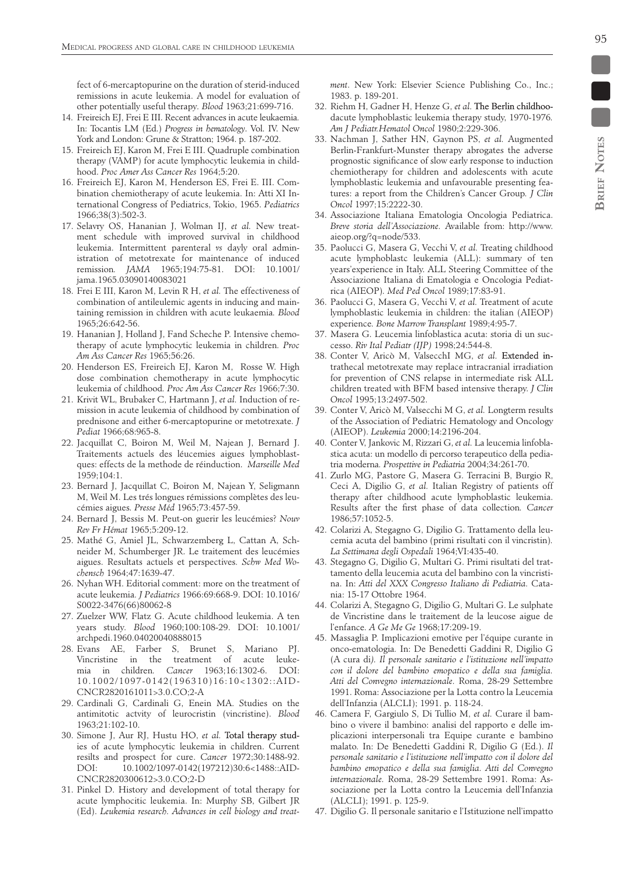fect of 6-mercaptopurine on the duration of sterid-induced remissions in acute leukemia. A model for evaluation of other potentially useful therapy*. Blood* 1963;21:699-716.

- 14. Freireich EJ, Frei E III. Recent advances in acute leukaemia*.*  In: Tocantis LM (Ed.) *Progress in hematology*. Vol. IV. New York and London: Grune & Stratton; 1964. p. 187-202.
- 15. Freireich EJ, Karon M, Frei E III. Quadruple combination therapy (VAMP) for acute lymphocytic leukemia in childhood. *Proc Amer Ass Cancer Res* 1964;5:20.
- 16. Freireich EJ, Karon M, Henderson ES, Frei E. III. Combination chemiotherapy of acute leukemia. In: Atti XI International Congress of Pediatrics, Tokio, 1965. *Pediatrics* 1966;38(3):502-3.
- 17. Selavry OS, Hananian J, Wolman IJ, *et al.* New treatment schedule with improved survival in childhood leukemia. Intermittent parenteral *vs* dayly oral administration of metotrexate for maintenance of induced remission*. JAMA* 1965;194:75-81. DOI: 10.1001/ jama.1965.03090140083021
- 18. Frei E III, Karon M, Levin R H, *et al.* The effectiveness of combination of antileulemic agents in inducing and maintaining remission in children with acute leukaemia*. Blood*  1965;26:642-56.
- 19. Hananian J, Holland J, Fand Scheche P. Intensive chemotherapy of acute lymphocytic leukemia in children*. Proc Am Ass Cancer Res* 1965;56:26.
- 20. Henderson ES, Freireich EJ, Karon M, Rosse W. High dose combination chemotherapy in acute lymphocytic leukemia of childhood*. Proc Am Ass Cancer Res* 1966;7:30.
- 21. Krivit WL, Brubaker C, Hartmann J, *et al.* Induction of remission in acute leukemia of childhood by combination of prednisone and either 6-mercaptopurine or metotrexate*. J Pediat* 1966;68:965-8.
- 22. Jacquillat C, Boiron M, Weil M, Najean J, Bernard J. Traitements actuels des léucemies aigues lymphoblastques: effects de la methode de réinduction. *Marseille Med* 1959;104:1.
- 23. Bernard J, Jacquillat C, Boiron M, Najean Y, Seligmann M, Weil M. Les trés longues rémissions complètes des leucémies aigues*. Presse Méd* 1965;73:457-59.
- 24. Bernard J, Bessis M. Peut-on guerir les leucémies? *Nouv Rev Fr Hémat* 1965;5:209-12.
- 25. Mathé G, Amiel JL, Schwarzemberg L, Cattan A, Schneider M, Schumberger JR. Le traitement des leucémies aigues. Resultats actuels et perspectives*. Schw Med Wochensch* 1964;47:1639-47.
- 26. Nyhan WH. Editorial comment: more on the treatment of acute leukemia*. J Pediatrics* 1966:69:668-9. DOI: 10.1016/ S0022-3476(66)80062-8
- 27. Zuelzer WW, Flatz G. Acute childhood leukemia. A ten years study*. Blood* 1960;100:108-29. DOI: 10.1001/ archpedi.1960.04020040888015
- 28. Evans AE, Farber S, Brunet S, Mariano PJ. Vincristine in the treatment of acute leukemia in children*. Cancer* 1963;16:1302-6. DOI: 10.1002/1097-0142(196310)16:10<1302::AID-CNCR2820161011>3.0.CO;2-A
- 29. Cardinali G, Cardinali G, Enein MA. Studies on the antimitotic actvity of leurocristin (vincristine). *Blood*  1963;21:102-10.
- 30. Simone J, Aur RJ, Hustu HO, et al. Total therapy studies of acute lymphocytic leukemia in children. Current resilts and prospect for cure. *Cancer* 1972;30:1488-92. DOI: 10.1002/1097-0142(197212)30:6<1488::AID-CNCR2820300612>3.0.CO;2-D
- 31. Pinkel D. History and development of total therapy for acute lymphocitic leukemia. In: Murphy SB, Gilbert JR (Ed). *Leukemia research. Advances in cell biology and treat-*
- 32. Riehm H, Gadner H, Henze G, et al. The Berlin childhoodacute lymphoblastic leukemia therapy study, 1970-1976*. Am J Pediatr.Hematol Oncol* 1980;2:229-306.
- 33. Nachman J, Sather HN, Gaynon PS, *et al.* Augmented Berlin-Frankfurt-Munster therapy abrogates the adverse prognostic significance of slow early response to induction chemiotherapy for children and adolescents with acute lymphoblastic leukemia and unfavourable presenting features: a report from the Children's Cancer Group*. J Clin Oncol* 1997;15:2222-30.
- 34. Associazione Italiana Ematologia Oncologia Pediatrica. *Breve storia dell'Associazione.* Available from: http://www. aieop.org/?q=node/533.
- 35. Paolucci G, Masera G, Vecchi V, *et al.* Treating childhood acute lymphoblastc leukemia (ALL): summary of ten years'experience in Italy. ALL Steering Committee of the Associazione Italiana di Ematologia e Oncologia Pediatrica (AIEOP)*. Med Ped Oncol* 1989;17:83-91.
- 36. Paolucci G, Masera G, Vecchi V, *et al.* Treatment of acute lymphoblastic leukemia in children: the italian (AIEOP) experience*. Bone Marrow Transplant* 1989;4:95-7.
- 37. Masera G. Leucemia linfoblastica acuta: storia di un successo. *Riv Ital Pediatr (IJP)* 1998;24:544-8.
- 38. Conter V, Aricò M, ValsecchI MG, et al. Extended intrathecal metotrexate may replace intracranial irradiation for prevention of CNS relapse in intermediate risk ALL children treated with BFM based intensive therapy. *J Clin Oncol* 1995;13:2497-502.
- 39. Conter V, Aricò M, Valsecchi M G, *et al.* Longterm results of the Association of Pediatric Hematology and Oncology (AIEOP). *Leukemia* 2000;14:2196-204.
- 40. Conter V, Jankovic M, Rizzari G, *et al.* La leucemia linfoblastica acuta: un modello di percorso terapeutico della pediatria moderna*. Prospettive in Pediatria* 2004;34:261-70.
- 41. Zurlo MG, Pastore G, Masera G. Terracini B, Burgio R, Ceci A, Digilio G, *et al.* Italian Registry of patients off therapy after childhood acute lymphoblastic leukemia. Results after the first phase of data collection*. Cancer* 1986;57:1052-5.
- 42. Colarizi A, Stegagno G, Digilio G. Trattamento della leucemia acuta del bambino (primi risultati con il vincristin)*. La Settimana degli Ospedali* 1964;VI:435-40.
- 43. Stegagno G, Digilio G, Multari G. Primi risultati del trattamento della leucemia acuta del bambino con la vincristina. In: *Atti del XXX Congresso Italiano di Pediatria.* Catania: 15-17 Ottobre 1964.
- 44. Colarizi A, Stegagno G, Digilio G, Multari G. Le sulphate de Vincristine dans le traitement de la leucose aigue de l'enfance*. A Ge Me Ge* 1968;17:209-19.
- 45. Massaglia P. Implicazioni emotive per l'équipe curante in onco-ematologia*.* In: De Benedetti Gaddini R, Digilio G (A cura di*). Il personale sanitario e l'istituzione nell'impatto con il dolore del bambino emopatico e della sua famiglia. Atti del Convegno internazionale.* Roma, 28-29 Settembre 1991. Roma: Associazione per la Lotta contro la Leucemia dell'Infanzia (ALCLI); 1991. p. 118-24.
- 46. Camera F, Gargiulo S, Di Tullio M, *et al.* Curare il bambino o vivere il bambino: analisi del rapporto e delle implicazioni interpersonali tra Equipe curante e bambino malato*.* In: De Benedetti Gaddini R, Digilio G (Ed.). *Il personale sanitario e l'istituzione nell'impatto con il dolore del bambino emopatico e della sua famiglia. Atti del Convegno internazionale.* Roma, 28-29 Settembre 1991. Roma: Associazione per la Lotta contro la Leucemia dell'Infanzia (ALCLI); 1991. p. 125-9.
- 47. Digilio G. Il personale sanitario e l'Istituzione nell'impatto